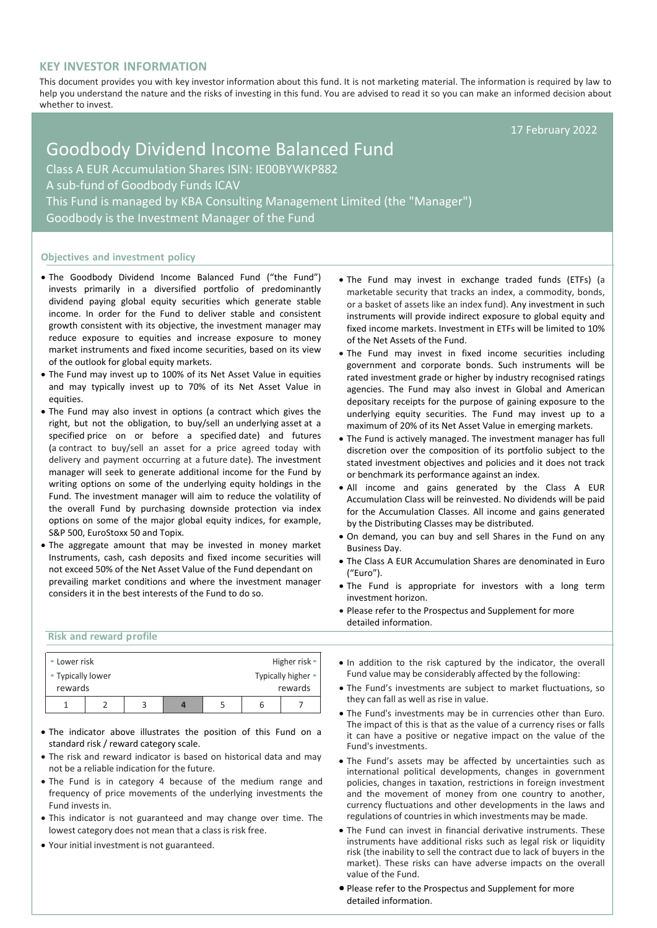# **KEY INVESTOR INFORMATION**

This document provides you with key investor information about this fund. It is not marketing material. The information is required by law to help you understand the nature and the risks of investing in this fund. You are advised to read it so you can make an informed decision about whether to invest.

17 February 2022

# Goodbody Dividend Income Balanced Fund Class A EUR Accumulation Shares ISIN: IE00BYWKP882 A sub-fund of Goodbody Funds ICAV This Fund is managed by KBA Consulting Management Limited (the "Manager") Goodbody is the Investment Manager of the Fund

### **Objectives and investment policy**

- The Goodbody Dividend Income Balanced Fund ("the Fund") invests primarily in a diversified portfolio of predominantly dividend paying global equity securities which generate stable income. In order for the Fund to deliver stable and consistent growth consistent with its objective, the investment manager may reduce exposure to equities and increase exposure to money market instruments and fixed income securities, based on its view of the outlook for global equity markets.
- The Fund may invest up to 100% of its Net Asset Value in equities and may typically invest up to 70% of its Net Asset Value in equities.
- The Fund may also invest in options (a contract which gives the right, but not the obligation, to buy/sell an [underlying](https://en.wikipedia.org/wiki/Underlying) [asset](https://en.wikipedia.org/wiki/Asset) at a specified price on or before a specified [date\)](https://en.wikipedia.org/wiki/Expiration_(options)) and futures (a contract to buy/sell an asset for a price agreed today with delivery and payment occurring at a future date). The investment manager will seek to generate additional income for the Fund by writing options on some of the underlying equity holdings in the Fund. The investment manager will aim to reduce the volatility of the overall Fund by purchasing downside protection via index options on some of the major global equity indices, for example, S&P 500, EuroStoxx 50 and Topix.
- The aggregate amount that may be invested in money market Instruments, cash, cash deposits and fixed income securities will not exceed 50% of the Net Asset Value of the Fund dependant on prevailing market conditions and where the investment manager considers it in the best interests of the Fund to do so.
- The Fund may invest in exchange traded funds (ETFs) (a marketable security that tracks an index, a commodity, bonds, or a basket of assets like an index fund). Any investment in such instruments will provide indirect exposure to global equity and fixed income markets. Investment in ETFs will be limited to 10% of the Net Assets of the Fund.
- The Fund may invest in fixed income securities including government and corporate bonds. Such instruments will be rated investment grade or higher by industry recognised ratings agencies. The Fund may also invest in Global and American depositary receipts for the purpose of gaining exposure to the underlying equity securities. The Fund may invest up to a maximum of 20% of its Net Asset Value in emerging markets.
- The Fund is actively managed. The investment manager has full discretion over the composition of its portfolio subject to the stated investment objectives and policies and it does not track or benchmark its performance against an index.
- All income and gains generated by the Class A EUR Accumulation Class will be reinvested. No dividends will be paid for the Accumulation Classes. All income and gains generated by the Distributing Classes may be distributed.
- On demand, you can buy and sell Shares in the Fund on any Business Day.
- The Class A EUR Accumulation Shares are denominated in Euro ("Euro").
- The Fund is appropriate for investors with a long term investment horizon.
- Please refer to the Prospectus and Supplement for more detailed information.

## **Risk and reward profile**

| • Lower risk                 |  |  |  |                               |   | Higher risk • |
|------------------------------|--|--|--|-------------------------------|---|---------------|
| • Typically lower<br>rewards |  |  |  | Typically higher •<br>rewards |   |               |
|                              |  |  |  |                               | ь |               |

- The indicator above illustrates the position of this Fund on a standard risk / reward category scale.
- The risk and reward indicator is based on historical data and may not be a reliable indication for the future.
- The Fund is in category 4 because of the medium range and frequency of price movements of the underlying investments the Fund invests in.
- This indicator is not guaranteed and may change over time. The lowest category does not mean that a class is risk free.
- Your initial investment is not guaranteed.
- In addition to the risk captured by the indicator, the overall Fund value may be considerably affected by the following:
- The Fund's investments are subject to market fluctuations, so they can fall as well as rise in value.
- The Fund's investments may be in currencies other than Euro. The impact of this is that as the value of a currency rises or falls it can have a positive or negative impact on the value of the Fund's investments.
- The Fund's assets may be affected by uncertainties such as international political developments, changes in government policies, changes in taxation, restrictions in foreign investment and the movement of money from one country to another, currency fluctuations and other developments in the laws and regulations of countries in which investments may be made.
- The Fund can invest in financial derivative instruments. These instruments have additional risks such as legal risk or liquidity risk (the inability to sell the contract due to lack of buyers in the market). These risks can have adverse impacts on the overall value of the Fund.
- Please refer to the Prospectus and Supplement for more detailed information.